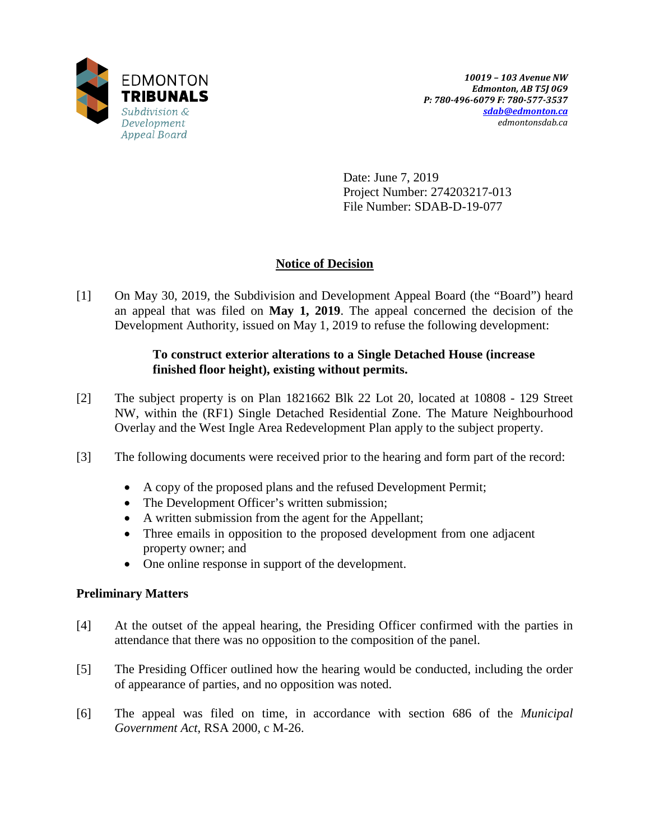

Date: June 7, 2019 Project Number: 274203217-013 File Number: SDAB-D-19-077

## **Notice of Decision**

[1] On May 30, 2019, the Subdivision and Development Appeal Board (the "Board") heard an appeal that was filed on **May 1, 2019**. The appeal concerned the decision of the Development Authority, issued on May 1, 2019 to refuse the following development:

### **To construct exterior alterations to a Single Detached House (increase finished floor height), existing without permits.**

- [2] The subject property is on Plan 1821662 Blk 22 Lot 20, located at 10808 129 Street NW, within the (RF1) Single Detached Residential Zone. The Mature Neighbourhood Overlay and the West Ingle Area Redevelopment Plan apply to the subject property.
- [3] The following documents were received prior to the hearing and form part of the record:
	- A copy of the proposed plans and the refused Development Permit;
	- The Development Officer's written submission;
	- A written submission from the agent for the Appellant;
	- Three emails in opposition to the proposed development from one adjacent property owner; and
	- One online response in support of the development.

### **Preliminary Matters**

- [4] At the outset of the appeal hearing, the Presiding Officer confirmed with the parties in attendance that there was no opposition to the composition of the panel.
- [5] The Presiding Officer outlined how the hearing would be conducted, including the order of appearance of parties, and no opposition was noted.
- [6] The appeal was filed on time, in accordance with section 686 of the *Municipal Government Act*, RSA 2000, c M-26.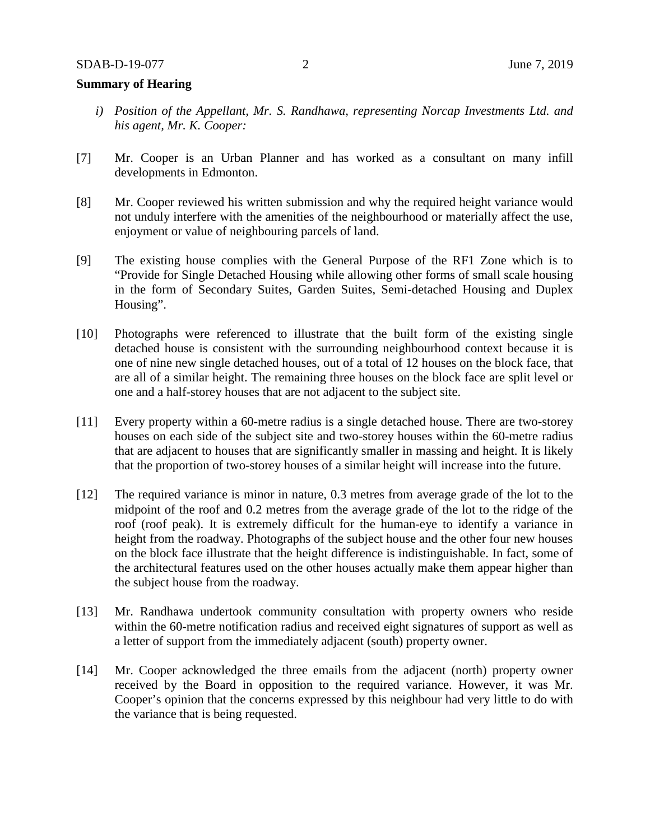#### **Summary of Hearing**

- *i) Position of the Appellant, Mr. S. Randhawa, representing Norcap Investments Ltd. and his agent, Mr. K. Cooper:*
- [7] Mr. Cooper is an Urban Planner and has worked as a consultant on many infill developments in Edmonton.
- [8] Mr. Cooper reviewed his written submission and why the required height variance would not unduly interfere with the amenities of the neighbourhood or materially affect the use, enjoyment or value of neighbouring parcels of land.
- [9] The existing house complies with the General Purpose of the RF1 Zone which is to "Provide for Single Detached Housing while allowing other forms of small scale housing in the form of Secondary Suites, Garden Suites, Semi-detached Housing and Duplex Housing".
- [10] Photographs were referenced to illustrate that the built form of the existing single detached house is consistent with the surrounding neighbourhood context because it is one of nine new single detached houses, out of a total of 12 houses on the block face, that are all of a similar height. The remaining three houses on the block face are split level or one and a half-storey houses that are not adjacent to the subject site.
- [11] Every property within a 60-metre radius is a single detached house. There are two-storey houses on each side of the subject site and two-storey houses within the 60-metre radius that are adjacent to houses that are significantly smaller in massing and height. It is likely that the proportion of two-storey houses of a similar height will increase into the future.
- [12] The required variance is minor in nature, 0.3 metres from average grade of the lot to the midpoint of the roof and 0.2 metres from the average grade of the lot to the ridge of the roof (roof peak). It is extremely difficult for the human-eye to identify a variance in height from the roadway. Photographs of the subject house and the other four new houses on the block face illustrate that the height difference is indistinguishable. In fact, some of the architectural features used on the other houses actually make them appear higher than the subject house from the roadway.
- [13] Mr. Randhawa undertook community consultation with property owners who reside within the 60-metre notification radius and received eight signatures of support as well as a letter of support from the immediately adjacent (south) property owner.
- [14] Mr. Cooper acknowledged the three emails from the adjacent (north) property owner received by the Board in opposition to the required variance. However, it was Mr. Cooper's opinion that the concerns expressed by this neighbour had very little to do with the variance that is being requested.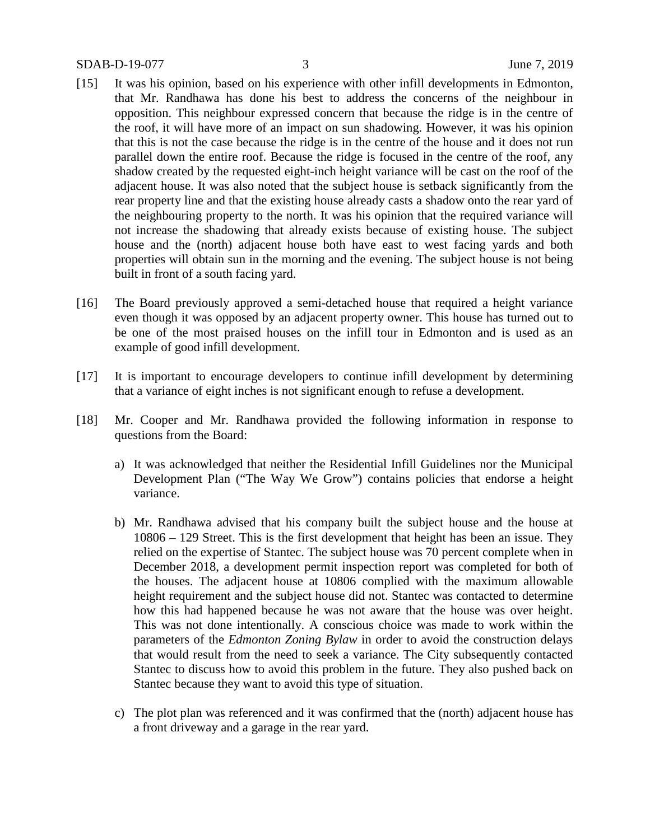- [15] It was his opinion, based on his experience with other infill developments in Edmonton, that Mr. Randhawa has done his best to address the concerns of the neighbour in opposition. This neighbour expressed concern that because the ridge is in the centre of the roof, it will have more of an impact on sun shadowing. However, it was his opinion that this is not the case because the ridge is in the centre of the house and it does not run parallel down the entire roof. Because the ridge is focused in the centre of the roof, any shadow created by the requested eight-inch height variance will be cast on the roof of the adjacent house. It was also noted that the subject house is setback significantly from the rear property line and that the existing house already casts a shadow onto the rear yard of the neighbouring property to the north. It was his opinion that the required variance will not increase the shadowing that already exists because of existing house. The subject house and the (north) adjacent house both have east to west facing yards and both properties will obtain sun in the morning and the evening. The subject house is not being built in front of a south facing yard.
- [16] The Board previously approved a semi-detached house that required a height variance even though it was opposed by an adjacent property owner. This house has turned out to be one of the most praised houses on the infill tour in Edmonton and is used as an example of good infill development.
- [17] It is important to encourage developers to continue infill development by determining that a variance of eight inches is not significant enough to refuse a development.
- [18] Mr. Cooper and Mr. Randhawa provided the following information in response to questions from the Board:
	- a) It was acknowledged that neither the Residential Infill Guidelines nor the Municipal Development Plan ("The Way We Grow") contains policies that endorse a height variance.
	- b) Mr. Randhawa advised that his company built the subject house and the house at 10806 – 129 Street. This is the first development that height has been an issue. They relied on the expertise of Stantec. The subject house was 70 percent complete when in December 2018, a development permit inspection report was completed for both of the houses. The adjacent house at 10806 complied with the maximum allowable height requirement and the subject house did not. Stantec was contacted to determine how this had happened because he was not aware that the house was over height. This was not done intentionally. A conscious choice was made to work within the parameters of the *Edmonton Zoning Bylaw* in order to avoid the construction delays that would result from the need to seek a variance. The City subsequently contacted Stantec to discuss how to avoid this problem in the future. They also pushed back on Stantec because they want to avoid this type of situation.
	- c) The plot plan was referenced and it was confirmed that the (north) adjacent house has a front driveway and a garage in the rear yard.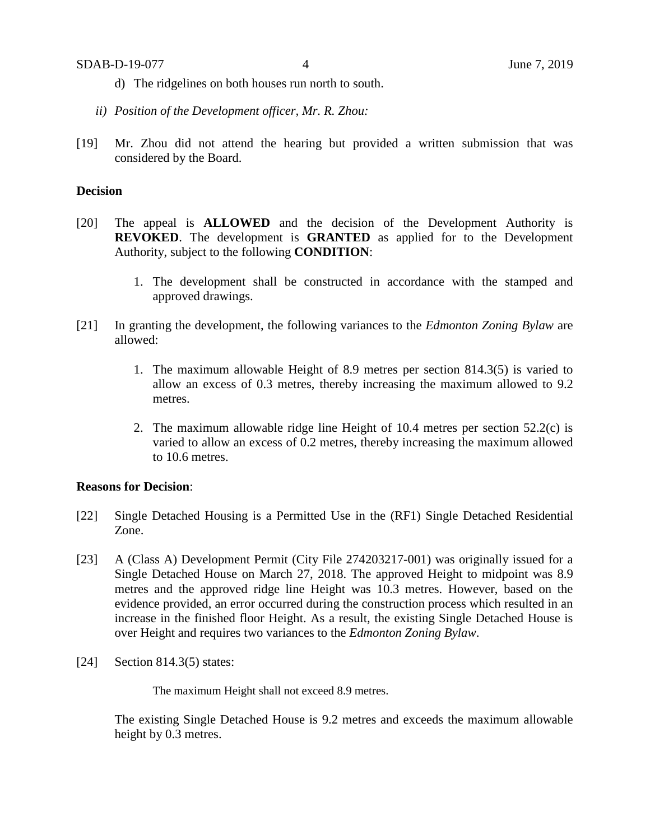- d) The ridgelines on both houses run north to south.
- *ii) Position of the Development officer, Mr. R. Zhou:*
- [19] Mr. Zhou did not attend the hearing but provided a written submission that was considered by the Board.

#### **Decision**

- [20] The appeal is **ALLOWED** and the decision of the Development Authority is **REVOKED**. The development is **GRANTED** as applied for to the Development Authority, subject to the following **CONDITION**:
	- 1. The development shall be constructed in accordance with the stamped and approved drawings.
- [21] In granting the development, the following variances to the *Edmonton Zoning Bylaw* are allowed:
	- 1. The maximum allowable Height of 8.9 metres per section 814.3(5) is varied to allow an excess of 0.3 metres, thereby increasing the maximum allowed to 9.2 metres.
	- 2. The maximum allowable ridge line Height of 10.4 metres per section 52.2(c) is varied to allow an excess of 0.2 metres, thereby increasing the maximum allowed to 10.6 metres.

#### **Reasons for Decision**:

- [22] Single Detached Housing is a Permitted Use in the (RF1) Single Detached Residential Zone.
- [23] A (Class A) Development Permit (City File 274203217-001) was originally issued for a Single Detached House on March 27, 2018. The approved Height to midpoint was 8.9 metres and the approved ridge line Height was 10.3 metres. However, based on the evidence provided, an error occurred during the construction process which resulted in an increase in the finished floor Height. As a result, the existing Single Detached House is over Height and requires two variances to the *Edmonton Zoning Bylaw*.
- [24] Section 814.3(5) states:

The maximum Height shall not exceed 8.9 metres.

The existing Single Detached House is 9.2 metres and exceeds the maximum allowable height by 0.3 metres.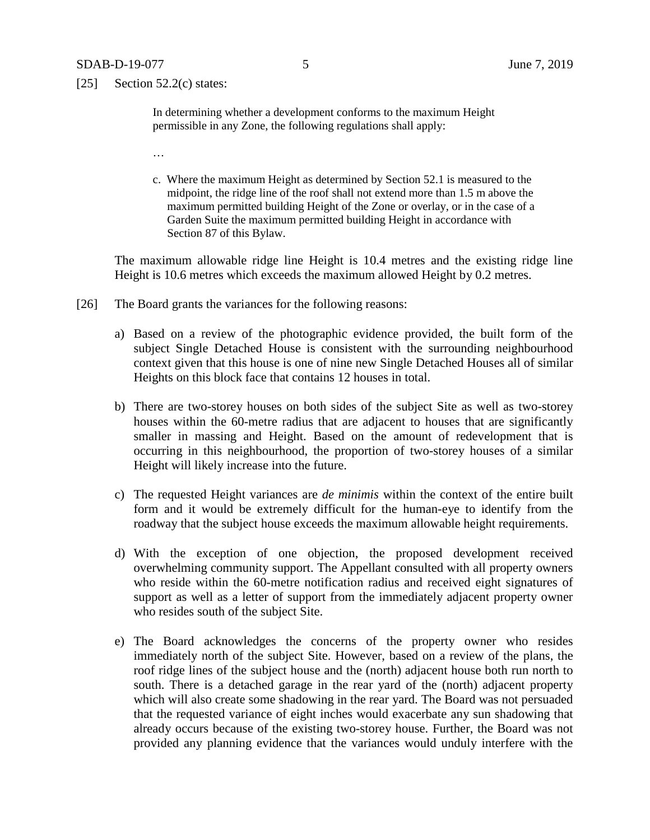[25] Section  $52.2(c)$  states:

In determining whether a development conforms to the maximum Height permissible in any Zone, the following regulations shall apply:

- …
- c. Where the maximum Height as determined by Section 52.1 is measured to the midpoint, the ridge line of the roof shall not extend more than 1.5 m above the maximum permitted building Height of the Zone or overlay, or in the case of a Garden Suite the maximum permitted building Height in accordance with Section 87 of this Bylaw.

The maximum allowable ridge line Height is 10.4 metres and the existing ridge line Height is 10.6 metres which exceeds the maximum allowed Height by 0.2 metres.

- [26] The Board grants the variances for the following reasons:
	- a) Based on a review of the photographic evidence provided, the built form of the subject Single Detached House is consistent with the surrounding neighbourhood context given that this house is one of nine new Single Detached Houses all of similar Heights on this block face that contains 12 houses in total.
	- b) There are two-storey houses on both sides of the subject Site as well as two-storey houses within the 60-metre radius that are adjacent to houses that are significantly smaller in massing and Height. Based on the amount of redevelopment that is occurring in this neighbourhood, the proportion of two-storey houses of a similar Height will likely increase into the future.
	- c) The requested Height variances are *de minimis* within the context of the entire built form and it would be extremely difficult for the human-eye to identify from the roadway that the subject house exceeds the maximum allowable height requirements.
	- d) With the exception of one objection, the proposed development received overwhelming community support. The Appellant consulted with all property owners who reside within the 60-metre notification radius and received eight signatures of support as well as a letter of support from the immediately adjacent property owner who resides south of the subject Site.
	- e) The Board acknowledges the concerns of the property owner who resides immediately north of the subject Site. However, based on a review of the plans, the roof ridge lines of the subject house and the (north) adjacent house both run north to south. There is a detached garage in the rear yard of the (north) adjacent property which will also create some shadowing in the rear yard. The Board was not persuaded that the requested variance of eight inches would exacerbate any sun shadowing that already occurs because of the existing two-storey house. Further, the Board was not provided any planning evidence that the variances would unduly interfere with the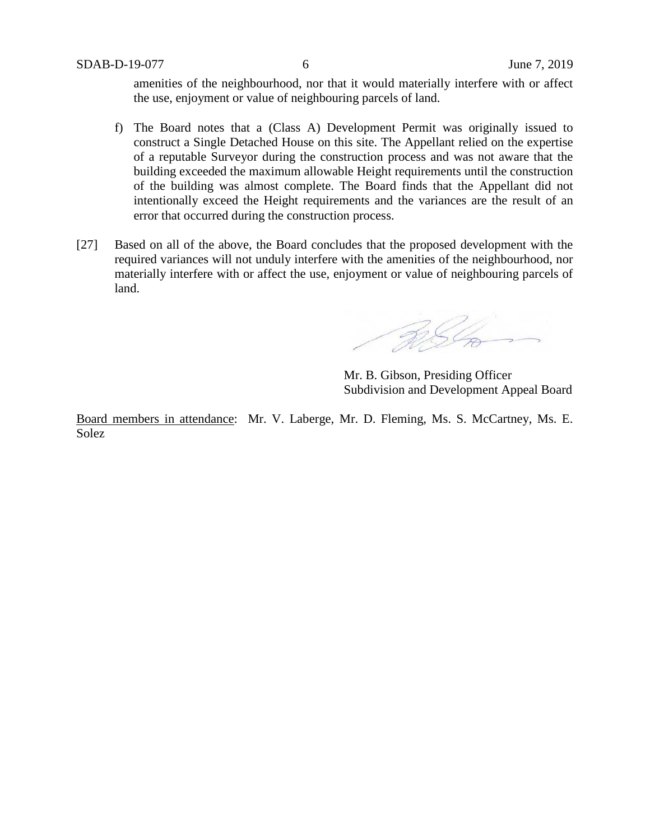amenities of the neighbourhood, nor that it would materially interfere with or affect the use, enjoyment or value of neighbouring parcels of land.

- f) The Board notes that a (Class A) Development Permit was originally issued to construct a Single Detached House on this site. The Appellant relied on the expertise of a reputable Surveyor during the construction process and was not aware that the building exceeded the maximum allowable Height requirements until the construction of the building was almost complete. The Board finds that the Appellant did not intentionally exceed the Height requirements and the variances are the result of an error that occurred during the construction process.
- [27] Based on all of the above, the Board concludes that the proposed development with the required variances will not unduly interfere with the amenities of the neighbourhood, nor materially interfere with or affect the use, enjoyment or value of neighbouring parcels of land.

RSL

Mr. B. Gibson, Presiding Officer Subdivision and Development Appeal Board

Board members in attendance: Mr. V. Laberge, Mr. D. Fleming, Ms. S. McCartney, Ms. E. Solez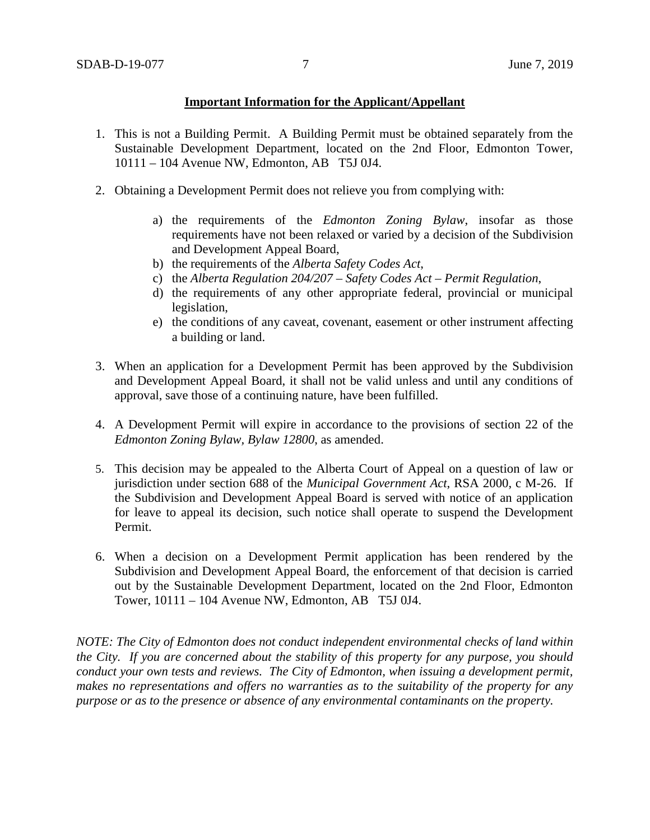#### **Important Information for the Applicant/Appellant**

- 1. This is not a Building Permit. A Building Permit must be obtained separately from the Sustainable Development Department, located on the 2nd Floor, Edmonton Tower, 10111 – 104 Avenue NW, Edmonton, AB T5J 0J4.
- 2. Obtaining a Development Permit does not relieve you from complying with:
	- a) the requirements of the *Edmonton Zoning Bylaw*, insofar as those requirements have not been relaxed or varied by a decision of the Subdivision and Development Appeal Board,
	- b) the requirements of the *Alberta Safety Codes Act*,
	- c) the *Alberta Regulation 204/207 – Safety Codes Act – Permit Regulation*,
	- d) the requirements of any other appropriate federal, provincial or municipal legislation,
	- e) the conditions of any caveat, covenant, easement or other instrument affecting a building or land.
- 3. When an application for a Development Permit has been approved by the Subdivision and Development Appeal Board, it shall not be valid unless and until any conditions of approval, save those of a continuing nature, have been fulfilled.
- 4. A Development Permit will expire in accordance to the provisions of section 22 of the *Edmonton Zoning Bylaw, Bylaw 12800*, as amended.
- 5. This decision may be appealed to the Alberta Court of Appeal on a question of law or jurisdiction under section 688 of the *Municipal Government Act*, RSA 2000, c M-26. If the Subdivision and Development Appeal Board is served with notice of an application for leave to appeal its decision, such notice shall operate to suspend the Development Permit.
- 6. When a decision on a Development Permit application has been rendered by the Subdivision and Development Appeal Board, the enforcement of that decision is carried out by the Sustainable Development Department, located on the 2nd Floor, Edmonton Tower, 10111 – 104 Avenue NW, Edmonton, AB T5J 0J4.

*NOTE: The City of Edmonton does not conduct independent environmental checks of land within the City. If you are concerned about the stability of this property for any purpose, you should conduct your own tests and reviews. The City of Edmonton, when issuing a development permit, makes no representations and offers no warranties as to the suitability of the property for any purpose or as to the presence or absence of any environmental contaminants on the property.*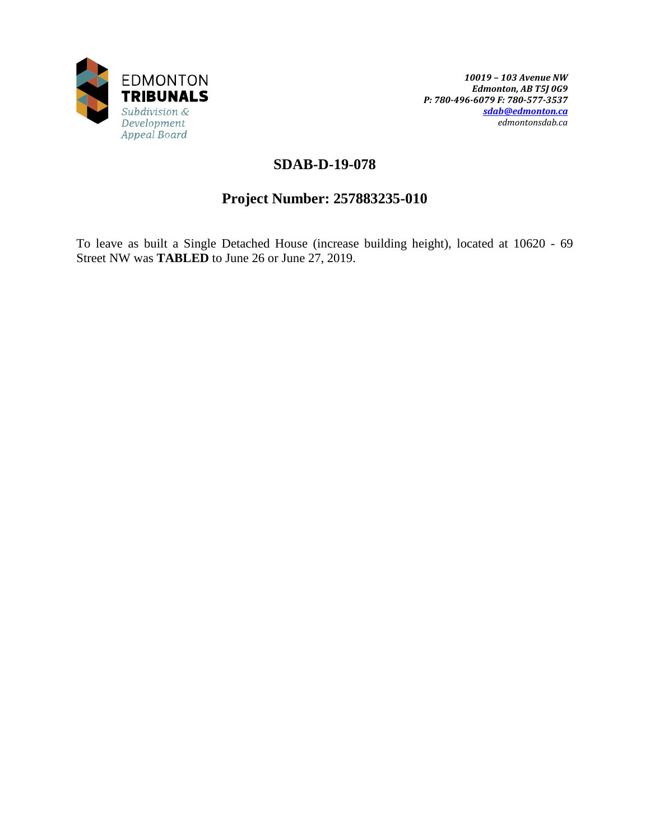

# **SDAB-D-19-078**

# **Project Number: 257883235-010**

To leave as built a Single Detached House (increase building height), located at 10620 - 69 Street NW was **TABLED** to June 26 or June 27, 2019.